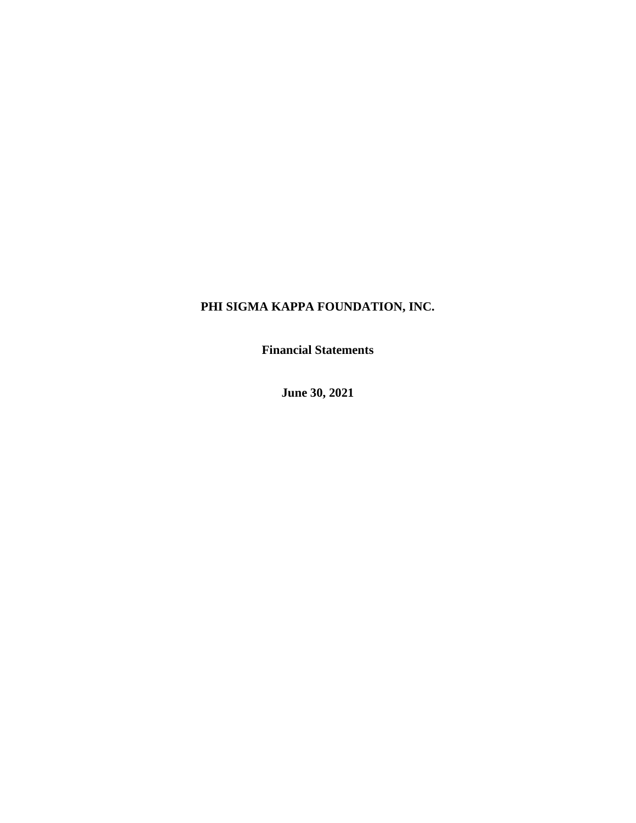**Financial Statements**

**June 30, 2021**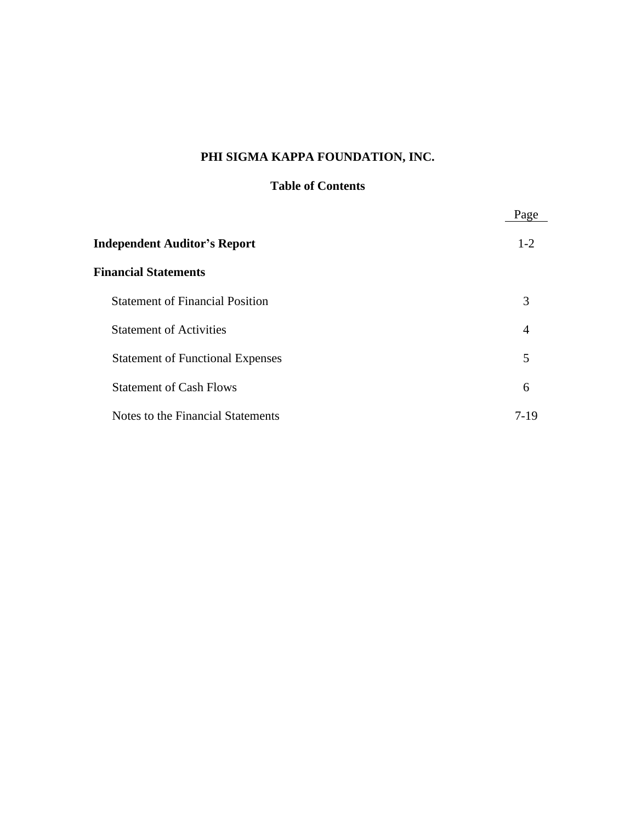|                                         | Page           |
|-----------------------------------------|----------------|
| <b>Independent Auditor's Report</b>     | $1-2$          |
| <b>Financial Statements</b>             |                |
| <b>Statement of Financial Position</b>  | 3              |
| <b>Statement of Activities</b>          | $\overline{4}$ |
| <b>Statement of Functional Expenses</b> | 5              |
| <b>Statement of Cash Flows</b>          | 6              |
| Notes to the Financial Statements       | 7-19           |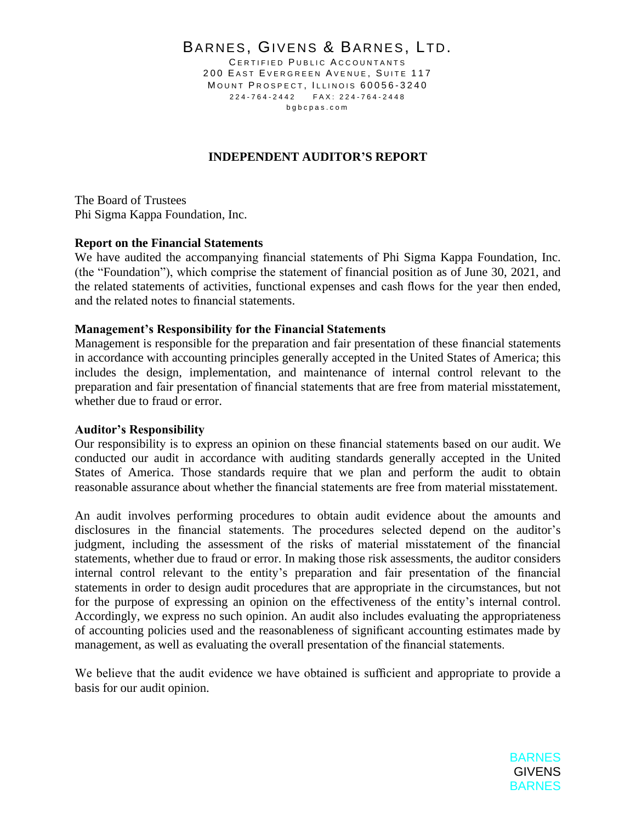# BARNES, GIVENS & BARNES, LTD.

CERTIFIED PUBLIC ACCOUNTANTS 200 EAST EVERGREEN AVENUE, SUITE 117 MOUNT PROSPECT, ILLINOIS 60056-3240 2 2 4 - 7 6 4 - 2 4 4 2 F A X : 2 2 4 - 7 6 4 - 2 4 4 8 b g b c p a s . c o m

## **INDEPENDENT AUDITOR'S REPORT**

The Board of Trustees Phi Sigma Kappa Foundation, Inc.

## **Report on the Financial Statements**

We have audited the accompanying financial statements of Phi Sigma Kappa Foundation, Inc. (the "Foundation"), which comprise the statement of financial position as of June 30, 2021, and the related statements of activities, functional expenses and cash flows for the year then ended, and the related notes to financial statements.

## **Management's Responsibility for the Financial Statements**

Management is responsible for the preparation and fair presentation of these financial statements in accordance with accounting principles generally accepted in the United States of America; this includes the design, implementation, and maintenance of internal control relevant to the preparation and fair presentation of financial statements that are free from material misstatement, whether due to fraud or error.

## **Auditor's Responsibility**

Our responsibility is to express an opinion on these financial statements based on our audit. We conducted our audit in accordance with auditing standards generally accepted in the United States of America. Those standards require that we plan and perform the audit to obtain reasonable assurance about whether the financial statements are free from material misstatement.

An audit involves performing procedures to obtain audit evidence about the amounts and disclosures in the financial statements. The procedures selected depend on the auditor's judgment, including the assessment of the risks of material misstatement of the financial statements, whether due to fraud or error. In making those risk assessments, the auditor considers internal control relevant to the entity's preparation and fair presentation of the financial statements in order to design audit procedures that are appropriate in the circumstances, but not for the purpose of expressing an opinion on the effectiveness of the entity's internal control. Accordingly, we express no such opinion. An audit also includes evaluating the appropriateness of accounting policies used and the reasonableness of significant accounting estimates made by management, as well as evaluating the overall presentation of the financial statements.

We believe that the audit evidence we have obtained is sufficient and appropriate to provide a basis for our audit opinion.

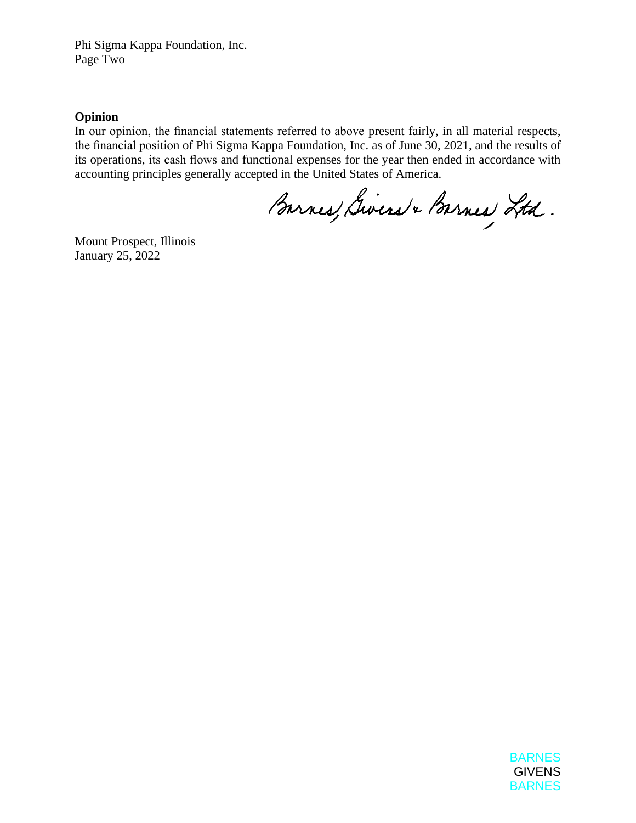Phi Sigma Kappa Foundation, Inc. Page Two

## **Opinion**

In our opinion, the financial statements referred to above present fairly, in all material respects, the financial position of Phi Sigma Kappa Foundation, Inc. as of June 30, 2021, and the results of its operations, its cash flows and functional expenses for the year then ended in accordance with accounting principles generally accepted in the United States of America.

Barnes, Givers & Barnes Ltd.

Mount Prospect, Illinois January 25, 2022

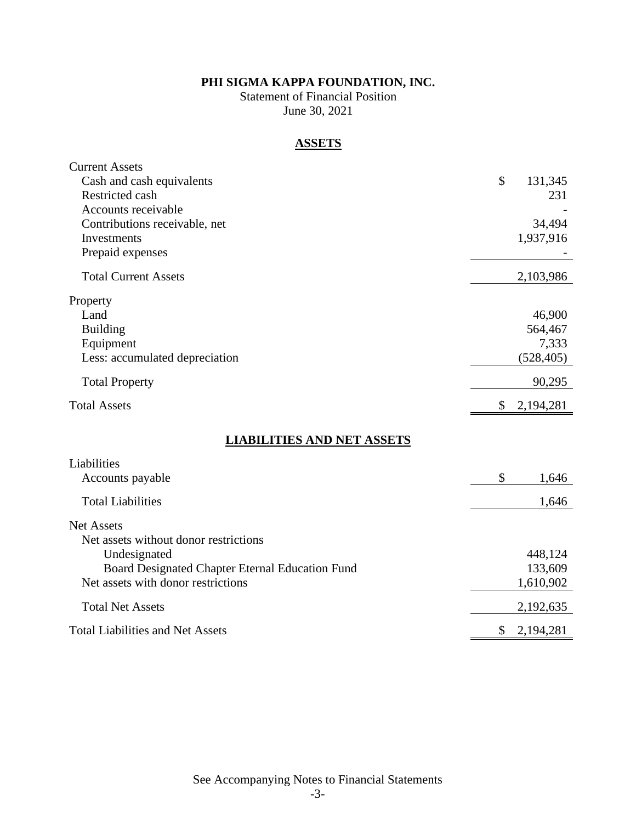Statement of Financial Position

June 30, 2021

## **ASSETS**

| <b>Current Assets</b>                           |                 |
|-------------------------------------------------|-----------------|
| Cash and cash equivalents                       | \$<br>131,345   |
| Restricted cash                                 | 231             |
| Accounts receivable                             |                 |
| Contributions receivable, net                   | 34,494          |
| Investments                                     | 1,937,916       |
| Prepaid expenses                                |                 |
| <b>Total Current Assets</b>                     | 2,103,986       |
| Property                                        |                 |
| Land                                            | 46,900          |
| <b>Building</b>                                 | 564,467         |
| Equipment                                       | 7,333           |
| Less: accumulated depreciation                  | (528, 405)      |
| <b>Total Property</b>                           | 90,295          |
| <b>Total Assets</b>                             | \$<br>2,194,281 |
| <b>LIABILITIES AND NET ASSETS</b>               |                 |
| Liabilities                                     |                 |
| Accounts payable                                | \$<br>1,646     |
| <b>Total Liabilities</b>                        | 1,646           |
| <b>Net Assets</b>                               |                 |
| Net assets without donor restrictions           |                 |
| Undesignated                                    | 448,124         |
| Board Designated Chapter Eternal Education Fund | 133,609         |
| Net assets with donor restrictions              | 1,610,902       |
| <b>Total Net Assets</b>                         | 2,192,635       |
| <b>Total Liabilities and Net Assets</b>         | \$<br>2,194,281 |
|                                                 |                 |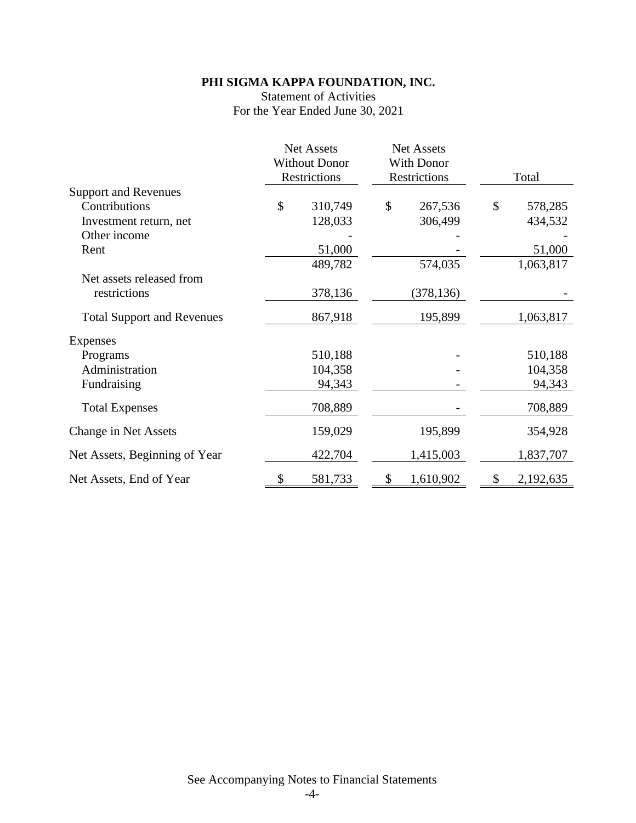Statement of Activities For the Year Ended June 30, 2021

|                                   | Net Assets<br><b>Without Donor</b><br>Restrictions |         | <b>Net Assets</b><br><b>With Donor</b><br>Restrictions |            |       |           |
|-----------------------------------|----------------------------------------------------|---------|--------------------------------------------------------|------------|-------|-----------|
|                                   |                                                    |         |                                                        |            |       |           |
|                                   |                                                    |         |                                                        |            | Total |           |
| <b>Support and Revenues</b>       |                                                    |         |                                                        |            |       |           |
| Contributions                     | \$                                                 | 310,749 | \$                                                     | 267,536    | \$    | 578,285   |
| Investment return, net            |                                                    | 128,033 |                                                        | 306,499    |       | 434,532   |
| Other income                      |                                                    |         |                                                        |            |       |           |
| Rent                              |                                                    | 51,000  |                                                        |            |       | 51,000    |
|                                   |                                                    | 489,782 |                                                        | 574,035    |       | 1,063,817 |
| Net assets released from          |                                                    |         |                                                        |            |       |           |
| restrictions                      |                                                    | 378,136 |                                                        | (378, 136) |       |           |
| <b>Total Support and Revenues</b> |                                                    | 867,918 |                                                        | 195,899    |       | 1,063,817 |
| Expenses                          |                                                    |         |                                                        |            |       |           |
| Programs                          |                                                    | 510,188 |                                                        |            |       | 510,188   |
| Administration                    |                                                    | 104,358 |                                                        |            |       | 104,358   |
| Fundraising                       |                                                    | 94,343  |                                                        |            |       | 94,343    |
| <b>Total Expenses</b>             |                                                    | 708,889 |                                                        |            |       | 708,889   |
| Change in Net Assets              |                                                    | 159,029 |                                                        | 195,899    |       | 354,928   |
| Net Assets, Beginning of Year     |                                                    | 422,704 |                                                        | 1,415,003  |       | 1,837,707 |
| Net Assets, End of Year           | \$                                                 | 581,733 | \$                                                     | 1,610,902  | \$    | 2,192,635 |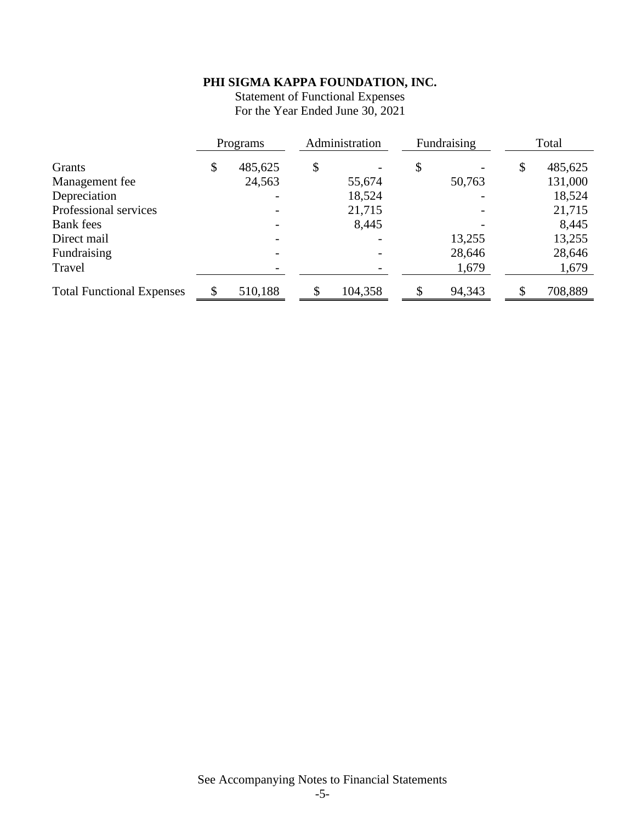Statement of Functional Expenses For the Year Ended June 30, 2021

|                                  |    | Programs | Administration | Fundraising | Total         |
|----------------------------------|----|----------|----------------|-------------|---------------|
| Grants                           | \$ | 485,625  | \$             | \$          | \$<br>485,625 |
| Management fee                   |    | 24,563   | 55,674         | 50,763      | 131,000       |
| Depreciation                     |    |          | 18,524         |             | 18,524        |
| Professional services            |    |          | 21,715         |             | 21,715        |
| Bank fees                        |    |          | 8,445          |             | 8,445         |
| Direct mail                      |    |          |                | 13,255      | 13,255        |
| Fundraising                      |    |          |                | 28,646      | 28,646        |
| Travel                           |    |          |                | 1,679       | 1,679         |
| <b>Total Functional Expenses</b> | S  | 510,188  | \$<br>104,358  | 94,343      | 708,889       |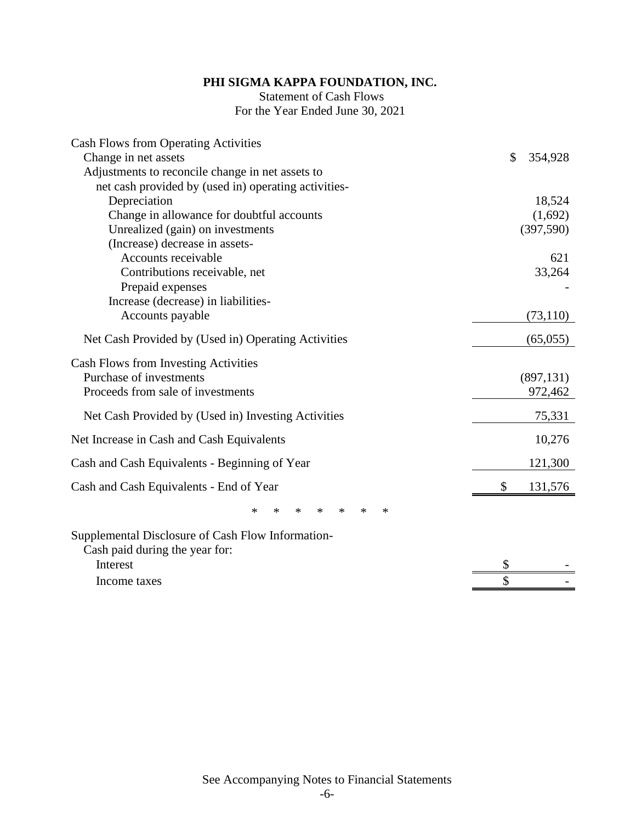Statement of Cash Flows For the Year Ended June 30, 2021

| <b>Cash Flows from Operating Activities</b>                        |               |
|--------------------------------------------------------------------|---------------|
| Change in net assets                                               | \$<br>354,928 |
| Adjustments to reconcile change in net assets to                   |               |
| net cash provided by (used in) operating activities-               |               |
| Depreciation                                                       | 18,524        |
| Change in allowance for doubtful accounts                          | (1,692)       |
| Unrealized (gain) on investments                                   | (397, 590)    |
| (Increase) decrease in assets-                                     |               |
| Accounts receivable                                                | 621           |
| Contributions receivable, net                                      | 33,264        |
| Prepaid expenses                                                   |               |
| Increase (decrease) in liabilities-                                |               |
| Accounts payable                                                   | (73, 110)     |
| Net Cash Provided by (Used in) Operating Activities                | (65,055)      |
| Cash Flows from Investing Activities                               |               |
| Purchase of investments                                            | (897, 131)    |
| Proceeds from sale of investments                                  | 972,462       |
| Net Cash Provided by (Used in) Investing Activities                | 75,331        |
|                                                                    |               |
| Net Increase in Cash and Cash Equivalents                          | 10,276        |
| Cash and Cash Equivalents - Beginning of Year                      | 121,300       |
| Cash and Cash Equivalents - End of Year                            | \$<br>131,576 |
| $\ast$<br>$\ast$<br>$\ast$<br>$\ast$<br>$\ast$<br>$\ast$<br>$\ast$ |               |
| Supplemental Disclosure of Cash Flow Information-                  |               |
| Cash paid during the year for:                                     |               |
| Interest                                                           | \$            |
| Income taxes                                                       | \$            |
|                                                                    |               |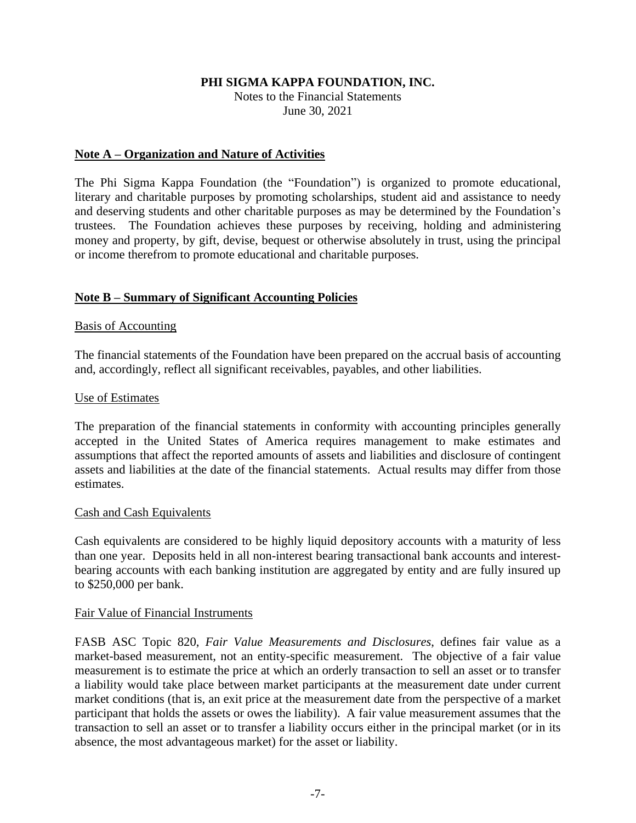Notes to the Financial Statements June 30, 2021

#### **Note A – Organization and Nature of Activities**

The Phi Sigma Kappa Foundation (the "Foundation") is organized to promote educational, literary and charitable purposes by promoting scholarships, student aid and assistance to needy and deserving students and other charitable purposes as may be determined by the Foundation's trustees. The Foundation achieves these purposes by receiving, holding and administering money and property, by gift, devise, bequest or otherwise absolutely in trust, using the principal or income therefrom to promote educational and charitable purposes.

## **Note B – Summary of Significant Accounting Policies**

#### Basis of Accounting

The financial statements of the Foundation have been prepared on the accrual basis of accounting and, accordingly, reflect all significant receivables, payables, and other liabilities.

#### Use of Estimates

The preparation of the financial statements in conformity with accounting principles generally accepted in the United States of America requires management to make estimates and assumptions that affect the reported amounts of assets and liabilities and disclosure of contingent assets and liabilities at the date of the financial statements. Actual results may differ from those estimates.

#### Cash and Cash Equivalents

Cash equivalents are considered to be highly liquid depository accounts with a maturity of less than one year. Deposits held in all non-interest bearing transactional bank accounts and interestbearing accounts with each banking institution are aggregated by entity and are fully insured up to \$250,000 per bank.

#### Fair Value of Financial Instruments

FASB ASC Topic 820, *Fair Value Measurements and Disclosures*, defines fair value as a market-based measurement, not an entity-specific measurement. The objective of a fair value measurement is to estimate the price at which an orderly transaction to sell an asset or to transfer a liability would take place between market participants at the measurement date under current market conditions (that is, an exit price at the measurement date from the perspective of a market participant that holds the assets or owes the liability). A fair value measurement assumes that the transaction to sell an asset or to transfer a liability occurs either in the principal market (or in its absence, the most advantageous market) for the asset or liability.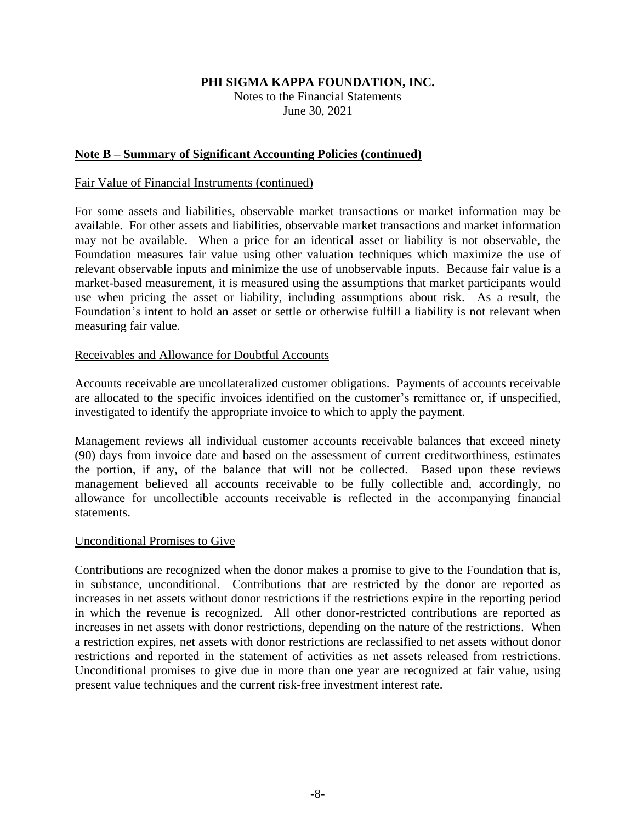Notes to the Financial Statements June 30, 2021

## **Note B – Summary of Significant Accounting Policies (continued)**

#### Fair Value of Financial Instruments (continued)

For some assets and liabilities, observable market transactions or market information may be available. For other assets and liabilities, observable market transactions and market information may not be available. When a price for an identical asset or liability is not observable, the Foundation measures fair value using other valuation techniques which maximize the use of relevant observable inputs and minimize the use of unobservable inputs. Because fair value is a market-based measurement, it is measured using the assumptions that market participants would use when pricing the asset or liability, including assumptions about risk. As a result, the Foundation's intent to hold an asset or settle or otherwise fulfill a liability is not relevant when measuring fair value.

## Receivables and Allowance for Doubtful Accounts

Accounts receivable are uncollateralized customer obligations. Payments of accounts receivable are allocated to the specific invoices identified on the customer's remittance or, if unspecified, investigated to identify the appropriate invoice to which to apply the payment.

Management reviews all individual customer accounts receivable balances that exceed ninety (90) days from invoice date and based on the assessment of current creditworthiness, estimates the portion, if any, of the balance that will not be collected. Based upon these reviews management believed all accounts receivable to be fully collectible and, accordingly, no allowance for uncollectible accounts receivable is reflected in the accompanying financial statements.

#### Unconditional Promises to Give

Contributions are recognized when the donor makes a promise to give to the Foundation that is, in substance, unconditional. Contributions that are restricted by the donor are reported as increases in net assets without donor restrictions if the restrictions expire in the reporting period in which the revenue is recognized. All other donor-restricted contributions are reported as increases in net assets with donor restrictions, depending on the nature of the restrictions. When a restriction expires, net assets with donor restrictions are reclassified to net assets without donor restrictions and reported in the statement of activities as net assets released from restrictions. Unconditional promises to give due in more than one year are recognized at fair value, using present value techniques and the current risk-free investment interest rate.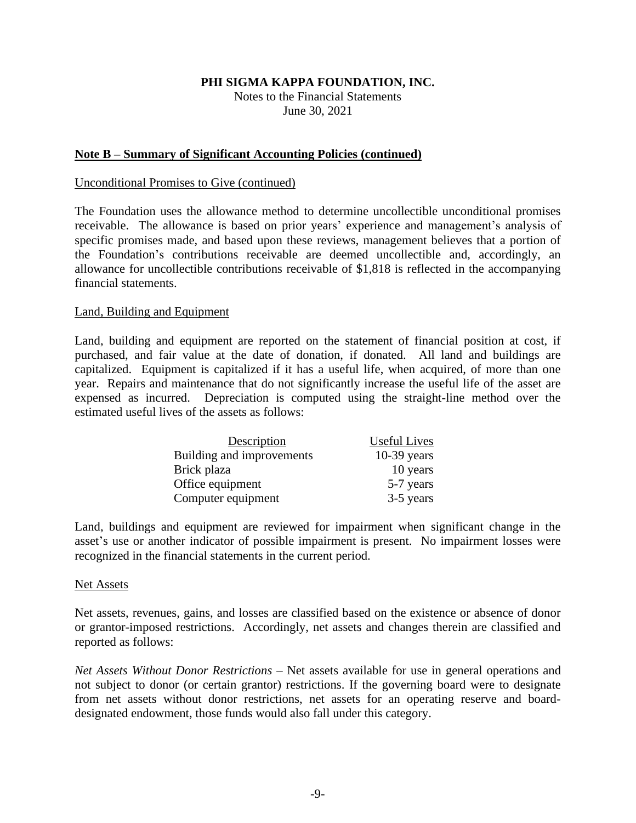Notes to the Financial Statements June 30, 2021

#### **Note B – Summary of Significant Accounting Policies (continued)**

#### Unconditional Promises to Give (continued)

The Foundation uses the allowance method to determine uncollectible unconditional promises receivable. The allowance is based on prior years' experience and management's analysis of specific promises made, and based upon these reviews, management believes that a portion of the Foundation's contributions receivable are deemed uncollectible and, accordingly, an allowance for uncollectible contributions receivable of \$1,818 is reflected in the accompanying financial statements.

#### Land, Building and Equipment

Land, building and equipment are reported on the statement of financial position at cost, if purchased, and fair value at the date of donation, if donated. All land and buildings are capitalized. Equipment is capitalized if it has a useful life, when acquired, of more than one year. Repairs and maintenance that do not significantly increase the useful life of the asset are expensed as incurred. Depreciation is computed using the straight-line method over the estimated useful lives of the assets as follows:

| Description               | <b>Useful Lives</b> |
|---------------------------|---------------------|
| Building and improvements | $10-39$ years       |
| Brick plaza               | 10 years            |
| Office equipment          | 5-7 years           |
| Computer equipment        | 3-5 years           |

Land, buildings and equipment are reviewed for impairment when significant change in the asset's use or another indicator of possible impairment is present. No impairment losses were recognized in the financial statements in the current period.

#### Net Assets

Net assets, revenues, gains, and losses are classified based on the existence or absence of donor or grantor-imposed restrictions. Accordingly, net assets and changes therein are classified and reported as follows:

*Net Assets Without Donor Restrictions* – Net assets available for use in general operations and not subject to donor (or certain grantor) restrictions. If the governing board were to designate from net assets without donor restrictions, net assets for an operating reserve and boarddesignated endowment, those funds would also fall under this category.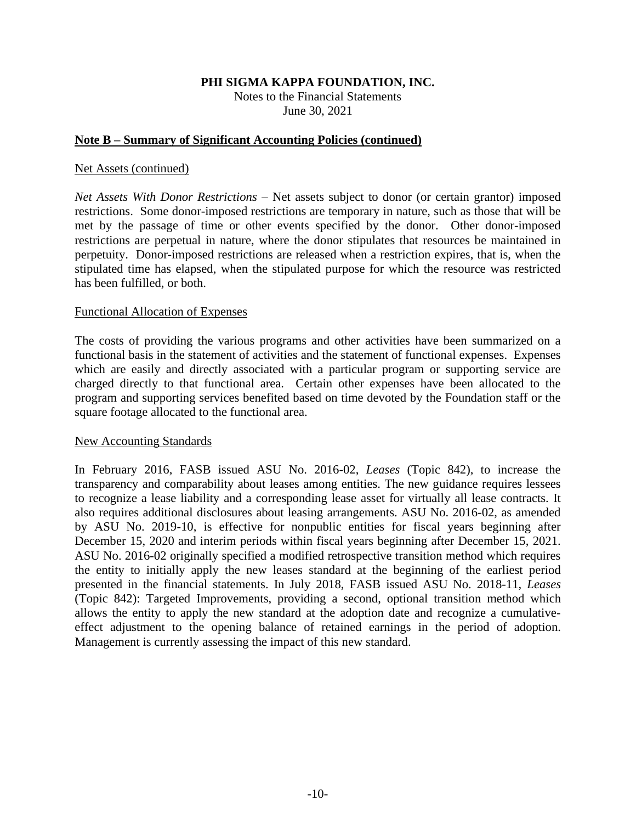Notes to the Financial Statements June 30, 2021

#### **Note B – Summary of Significant Accounting Policies (continued)**

#### Net Assets (continued)

*Net Assets With Donor Restrictions* – Net assets subject to donor (or certain grantor) imposed restrictions. Some donor-imposed restrictions are temporary in nature, such as those that will be met by the passage of time or other events specified by the donor. Other donor-imposed restrictions are perpetual in nature, where the donor stipulates that resources be maintained in perpetuity. Donor-imposed restrictions are released when a restriction expires, that is, when the stipulated time has elapsed, when the stipulated purpose for which the resource was restricted has been fulfilled, or both.

#### Functional Allocation of Expenses

The costs of providing the various programs and other activities have been summarized on a functional basis in the statement of activities and the statement of functional expenses. Expenses which are easily and directly associated with a particular program or supporting service are charged directly to that functional area. Certain other expenses have been allocated to the program and supporting services benefited based on time devoted by the Foundation staff or the square footage allocated to the functional area.

#### New Accounting Standards

In February 2016, FASB issued ASU No. 2016-02, *Leases* (Topic 842), to increase the transparency and comparability about leases among entities. The new guidance requires lessees to recognize a lease liability and a corresponding lease asset for virtually all lease contracts. It also requires additional disclosures about leasing arrangements. ASU No. 2016-02, as amended by ASU No. 2019-10, is effective for nonpublic entities for fiscal years beginning after December 15, 2020 and interim periods within fiscal years beginning after December 15, 2021. ASU No. 2016-02 originally specified a modified retrospective transition method which requires the entity to initially apply the new leases standard at the beginning of the earliest period presented in the financial statements. In July 2018, FASB issued ASU No. 2018-11, *Leases* (Topic 842): Targeted Improvements, providing a second, optional transition method which allows the entity to apply the new standard at the adoption date and recognize a cumulativeeffect adjustment to the opening balance of retained earnings in the period of adoption. Management is currently assessing the impact of this new standard.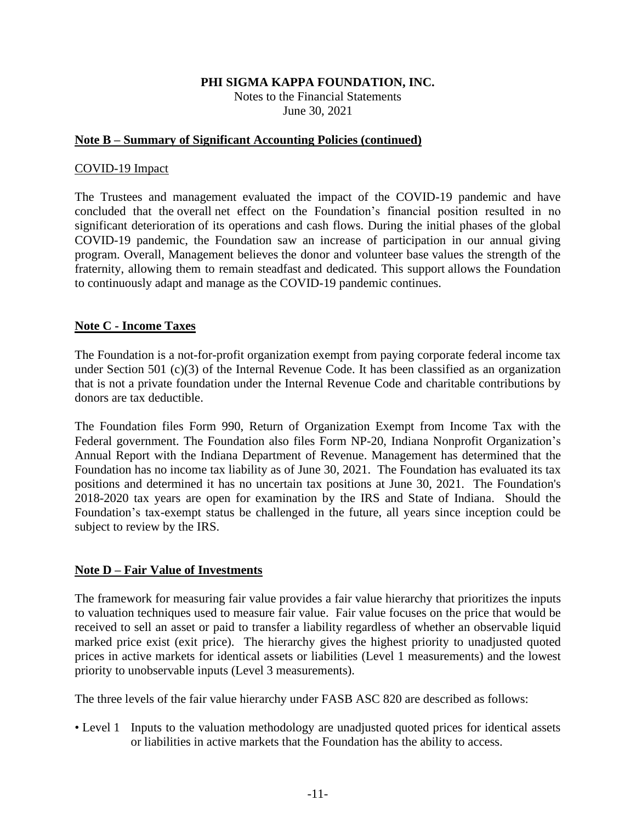Notes to the Financial Statements June 30, 2021

#### **Note B – Summary of Significant Accounting Policies (continued)**

#### COVID-19 Impact

The Trustees and management evaluated the impact of the COVID-19 pandemic and have concluded that the overall net effect on the Foundation's financial position resulted in no significant deterioration of its operations and cash flows. During the initial phases of the global COVID-19 pandemic, the Foundation saw an increase of participation in our annual giving program. Overall, Management believes the donor and volunteer base values the strength of the fraternity, allowing them to remain steadfast and dedicated. This support allows the Foundation to continuously adapt and manage as the COVID-19 pandemic continues.

#### **Note C - Income Taxes**

The Foundation is a not-for-profit organization exempt from paying corporate federal income tax under Section 501 (c)(3) of the Internal Revenue Code. It has been classified as an organization that is not a private foundation under the Internal Revenue Code and charitable contributions by donors are tax deductible.

The Foundation files Form 990, Return of Organization Exempt from Income Tax with the Federal government. The Foundation also files Form NP-20, Indiana Nonprofit Organization's Annual Report with the Indiana Department of Revenue. Management has determined that the Foundation has no income tax liability as of June 30, 2021. The Foundation has evaluated its tax positions and determined it has no uncertain tax positions at June 30, 2021. The Foundation's 2018-2020 tax years are open for examination by the IRS and State of Indiana. Should the Foundation's tax-exempt status be challenged in the future, all years since inception could be subject to review by the IRS.

## **Note D – Fair Value of Investments**

The framework for measuring fair value provides a fair value hierarchy that prioritizes the inputs to valuation techniques used to measure fair value. Fair value focuses on the price that would be received to sell an asset or paid to transfer a liability regardless of whether an observable liquid marked price exist (exit price). The hierarchy gives the highest priority to unadjusted quoted prices in active markets for identical assets or liabilities (Level 1 measurements) and the lowest priority to unobservable inputs (Level 3 measurements).

The three levels of the fair value hierarchy under FASB ASC 820 are described as follows:

• Level 1 Inputs to the valuation methodology are unadjusted quoted prices for identical assets or liabilities in active markets that the Foundation has the ability to access.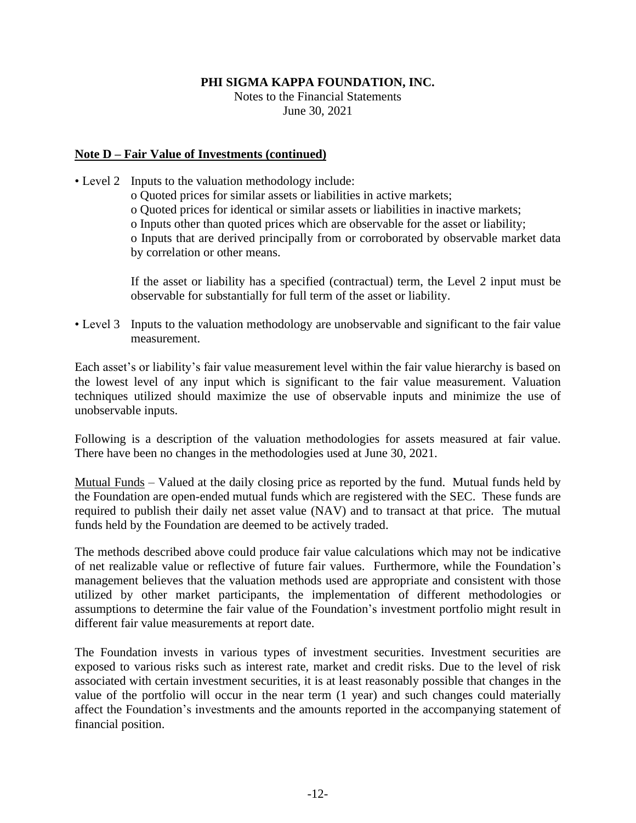Notes to the Financial Statements June 30, 2021

#### **Note D – Fair Value of Investments (continued)**

- Level 2 Inputs to the valuation methodology include:
	- o Quoted prices for similar assets or liabilities in active markets;
	- o Quoted prices for identical or similar assets or liabilities in inactive markets;

o Inputs other than quoted prices which are observable for the asset or liability;

o Inputs that are derived principally from or corroborated by observable market data by correlation or other means.

If the asset or liability has a specified (contractual) term, the Level 2 input must be observable for substantially for full term of the asset or liability.

• Level 3 Inputs to the valuation methodology are unobservable and significant to the fair value measurement.

Each asset's or liability's fair value measurement level within the fair value hierarchy is based on the lowest level of any input which is significant to the fair value measurement. Valuation techniques utilized should maximize the use of observable inputs and minimize the use of unobservable inputs.

Following is a description of the valuation methodologies for assets measured at fair value. There have been no changes in the methodologies used at June 30, 2021.

Mutual Funds – Valued at the daily closing price as reported by the fund. Mutual funds held by the Foundation are open-ended mutual funds which are registered with the SEC. These funds are required to publish their daily net asset value (NAV) and to transact at that price. The mutual funds held by the Foundation are deemed to be actively traded.

The methods described above could produce fair value calculations which may not be indicative of net realizable value or reflective of future fair values. Furthermore, while the Foundation's management believes that the valuation methods used are appropriate and consistent with those utilized by other market participants, the implementation of different methodologies or assumptions to determine the fair value of the Foundation's investment portfolio might result in different fair value measurements at report date.

The Foundation invests in various types of investment securities. Investment securities are exposed to various risks such as interest rate, market and credit risks. Due to the level of risk associated with certain investment securities, it is at least reasonably possible that changes in the value of the portfolio will occur in the near term (1 year) and such changes could materially affect the Foundation's investments and the amounts reported in the accompanying statement of financial position.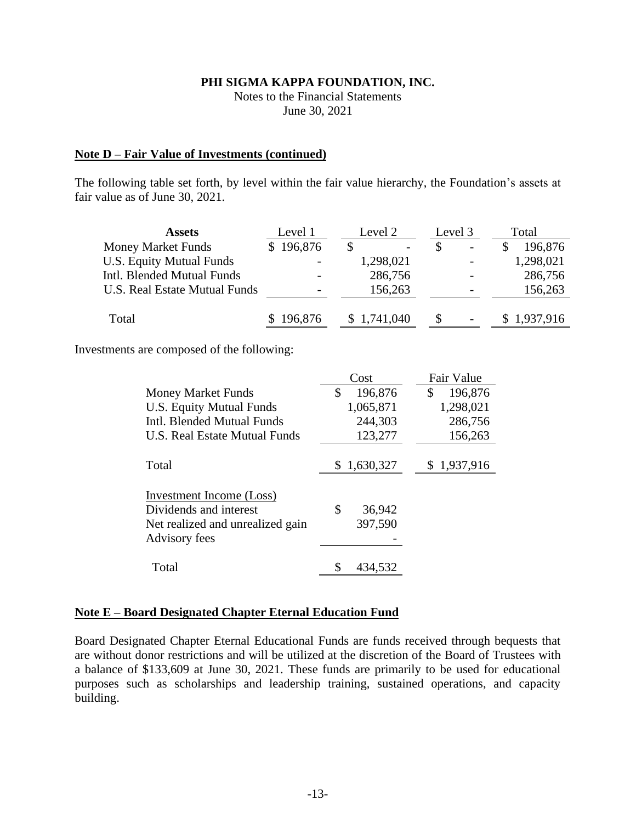Notes to the Financial Statements June 30, 2021

#### **Note D – Fair Value of Investments (continued)**

The following table set forth, by level within the fair value hierarchy, the Foundation's assets at fair value as of June 30, 2021.

| <b>Assets</b>                   | Level 1   | Level 2     | Level 3 | Total           |
|---------------------------------|-----------|-------------|---------|-----------------|
| <b>Money Market Funds</b>       | \$196,876 |             |         | 196,876         |
| <b>U.S. Equity Mutual Funds</b> |           | 1,298,021   |         | 1,298,021       |
| Intl. Blended Mutual Funds      |           | 286,756     |         | 286,756         |
| U.S. Real Estate Mutual Funds   |           | 156,263     |         | 156,263         |
|                                 |           |             |         |                 |
| Total                           | \$196,876 | \$1,741,040 |         | 1,937,916<br>S. |

Investments are composed of the following:

|                                                                                                         | Cost                    | Fair Value    |
|---------------------------------------------------------------------------------------------------------|-------------------------|---------------|
| <b>Money Market Funds</b>                                                                               | \$<br>196,876           | \$<br>196,876 |
| <b>U.S. Equity Mutual Funds</b>                                                                         | 1,065,871               | 1,298,021     |
| Intl. Blended Mutual Funds                                                                              | 244,303                 | 286,756       |
| U.S. Real Estate Mutual Funds                                                                           | 123,277                 | 156,263       |
| Total                                                                                                   | \$1,630,327             | \$1,937,916   |
| Investment Income (Loss)<br>Dividends and interest<br>Net realized and unrealized gain<br>Advisory fees | \$<br>36,942<br>397,590 |               |
| Total                                                                                                   | \$<br>434,532           |               |

## **Note E – Board Designated Chapter Eternal Education Fund**

Board Designated Chapter Eternal Educational Funds are funds received through bequests that are without donor restrictions and will be utilized at the discretion of the Board of Trustees with a balance of \$133,609 at June 30, 2021. These funds are primarily to be used for educational purposes such as scholarships and leadership training, sustained operations, and capacity building.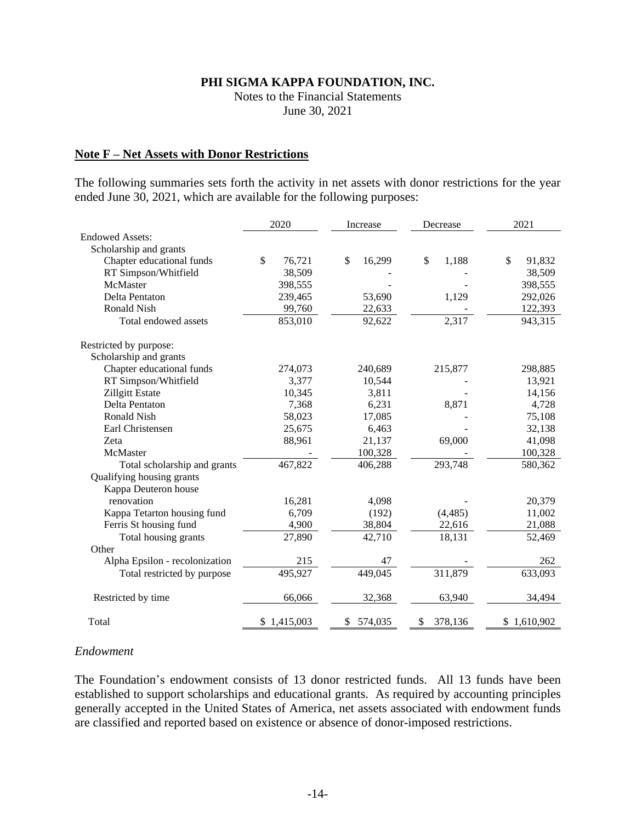Notes to the Financial Statements

June 30, 2021

#### **Note F – Net Assets with Donor Restrictions**

The following summaries sets forth the activity in net assets with donor restrictions for the year ended June 30, 2021, which are available for the following purposes:

|                                | 2020         | Increase      | Decrease      | 2021            |  |
|--------------------------------|--------------|---------------|---------------|-----------------|--|
| <b>Endowed Assets:</b>         |              |               |               |                 |  |
| Scholarship and grants         |              |               |               |                 |  |
| Chapter educational funds      | \$<br>76,721 | \$<br>16,299  | \$<br>1,188   | \$<br>91,832    |  |
| RT Simpson/Whitfield           | 38,509       |               |               | 38,509          |  |
| McMaster                       | 398,555      |               |               | 398,555         |  |
| Delta Pentaton                 | 239,465      | 53,690        | 1,129         | 292,026         |  |
| <b>Ronald Nish</b>             | 99,760       | 22,633        |               | 122,393         |  |
| Total endowed assets           | 853,010      | 92,622        | 2,317         | 943,315         |  |
| Restricted by purpose:         |              |               |               |                 |  |
| Scholarship and grants         |              |               |               |                 |  |
| Chapter educational funds      | 274,073      | 240,689       | 215,877       | 298,885         |  |
| RT Simpson/Whitfield           | 3,377        | 10,544        |               | 13,921          |  |
| Zillgitt Estate                | 10,345       | 3,811         |               | 14,156          |  |
| Delta Pentaton                 | 7,368        | 6,231         | 8,871         | 4,728           |  |
| Ronald Nish                    | 58,023       | 17,085        |               | 75,108          |  |
| Earl Christensen               | 25,675       | 6,463         |               | 32,138          |  |
| Zeta                           | 88,961       | 21,137        | 69,000        | 41,098          |  |
| McMaster                       |              | 100,328       |               | 100,328         |  |
| Total scholarship and grants   | 467,822      | 406,288       | 293,748       | 580,362         |  |
| Qualifying housing grants      |              |               |               |                 |  |
| Kappa Deuteron house           |              |               |               |                 |  |
| renovation                     | 16,281       | 4,098         |               | 20,379          |  |
| Kappa Tetarton housing fund    | 6,709        | (192)         | (4, 485)      | 11,002          |  |
| Ferris St housing fund         | 4,900        | 38,804        | 22,616        | 21,088          |  |
| Total housing grants           | 27,890       | 42,710        | 18,131        | 52,469          |  |
| Other                          |              |               |               |                 |  |
| Alpha Epsilon - recolonization | 215          | 47            |               | 262             |  |
| Total restricted by purpose    | 495,927      | 449,045       | 311,879       | 633,093         |  |
| Restricted by time             | 66,066       | 32,368        | 63,940        | 34,494          |  |
| Total                          | \$1,415,003  | 574,035<br>\$ | 378,136<br>\$ | 1,610,902<br>\$ |  |

## *Endowment*

The Foundation's endowment consists of 13 donor restricted funds. All 13 funds have been established to support scholarships and educational grants. As required by accounting principles generally accepted in the United States of America, net assets associated with endowment funds are classified and reported based on existence or absence of donor-imposed restrictions.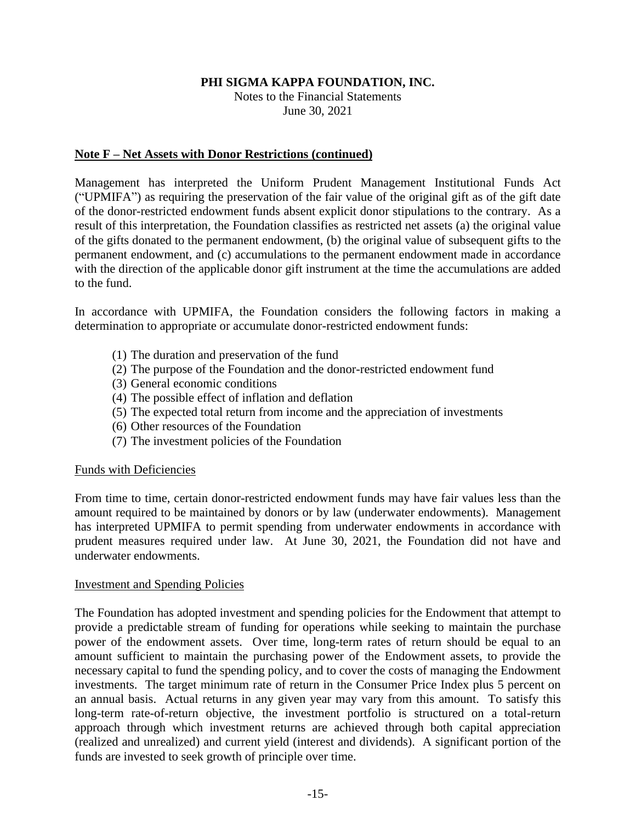Notes to the Financial Statements June 30, 2021

#### **Note F – Net Assets with Donor Restrictions (continued)**

Management has interpreted the Uniform Prudent Management Institutional Funds Act ("UPMIFA") as requiring the preservation of the fair value of the original gift as of the gift date of the donor-restricted endowment funds absent explicit donor stipulations to the contrary. As a result of this interpretation, the Foundation classifies as restricted net assets (a) the original value of the gifts donated to the permanent endowment, (b) the original value of subsequent gifts to the permanent endowment, and (c) accumulations to the permanent endowment made in accordance with the direction of the applicable donor gift instrument at the time the accumulations are added to the fund.

In accordance with UPMIFA, the Foundation considers the following factors in making a determination to appropriate or accumulate donor-restricted endowment funds:

- (1) The duration and preservation of the fund
- (2) The purpose of the Foundation and the donor-restricted endowment fund
- (3) General economic conditions
- (4) The possible effect of inflation and deflation
- (5) The expected total return from income and the appreciation of investments
- (6) Other resources of the Foundation
- (7) The investment policies of the Foundation

## Funds with Deficiencies

From time to time, certain donor-restricted endowment funds may have fair values less than the amount required to be maintained by donors or by law (underwater endowments). Management has interpreted UPMIFA to permit spending from underwater endowments in accordance with prudent measures required under law. At June 30, 2021, the Foundation did not have and underwater endowments.

#### Investment and Spending Policies

The Foundation has adopted investment and spending policies for the Endowment that attempt to provide a predictable stream of funding for operations while seeking to maintain the purchase power of the endowment assets. Over time, long-term rates of return should be equal to an amount sufficient to maintain the purchasing power of the Endowment assets, to provide the necessary capital to fund the spending policy, and to cover the costs of managing the Endowment investments. The target minimum rate of return in the Consumer Price Index plus 5 percent on an annual basis. Actual returns in any given year may vary from this amount. To satisfy this long-term rate-of-return objective, the investment portfolio is structured on a total-return approach through which investment returns are achieved through both capital appreciation (realized and unrealized) and current yield (interest and dividends). A significant portion of the funds are invested to seek growth of principle over time.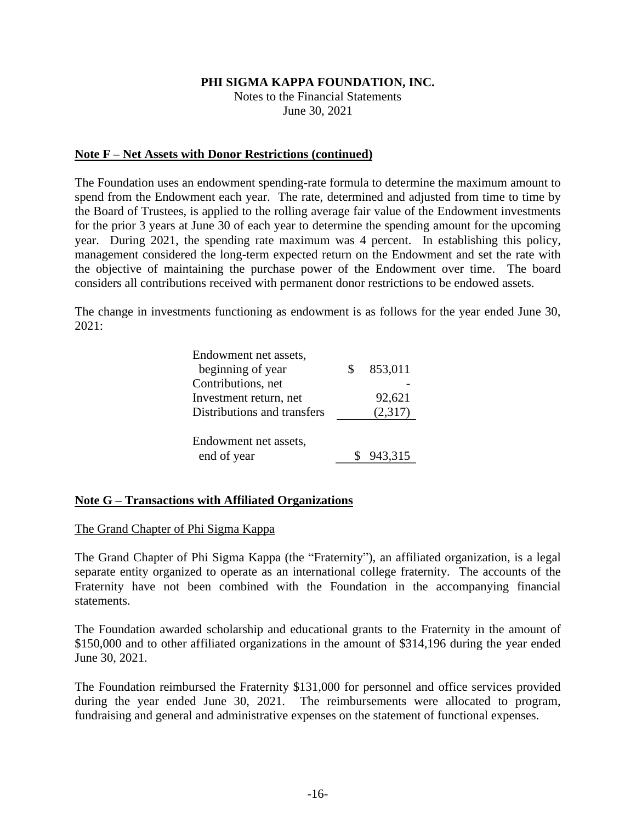Notes to the Financial Statements June 30, 2021

#### **Note F – Net Assets with Donor Restrictions (continued)**

The Foundation uses an endowment spending-rate formula to determine the maximum amount to spend from the Endowment each year. The rate, determined and adjusted from time to time by the Board of Trustees, is applied to the rolling average fair value of the Endowment investments for the prior 3 years at June 30 of each year to determine the spending amount for the upcoming year. During 2021, the spending rate maximum was 4 percent. In establishing this policy, management considered the long-term expected return on the Endowment and set the rate with the objective of maintaining the purchase power of the Endowment over time. The board considers all contributions received with permanent donor restrictions to be endowed assets.

The change in investments functioning as endowment is as follows for the year ended June 30, 2021:

| Endowment net assets,       |   |         |
|-----------------------------|---|---------|
| beginning of year           | S | 853,011 |
| Contributions, net          |   |         |
| Investment return, net      |   | 92,621  |
| Distributions and transfers |   | (2,317) |
|                             |   |         |
| Endowment net assets,       |   |         |
| end of year                 |   | 943,315 |
|                             |   |         |

## **Note G – Transactions with Affiliated Organizations**

## The Grand Chapter of Phi Sigma Kappa

The Grand Chapter of Phi Sigma Kappa (the "Fraternity"), an affiliated organization, is a legal separate entity organized to operate as an international college fraternity. The accounts of the Fraternity have not been combined with the Foundation in the accompanying financial statements.

The Foundation awarded scholarship and educational grants to the Fraternity in the amount of \$150,000 and to other affiliated organizations in the amount of \$314,196 during the year ended June 30, 2021.

The Foundation reimbursed the Fraternity \$131,000 for personnel and office services provided during the year ended June 30, 2021. The reimbursements were allocated to program, fundraising and general and administrative expenses on the statement of functional expenses.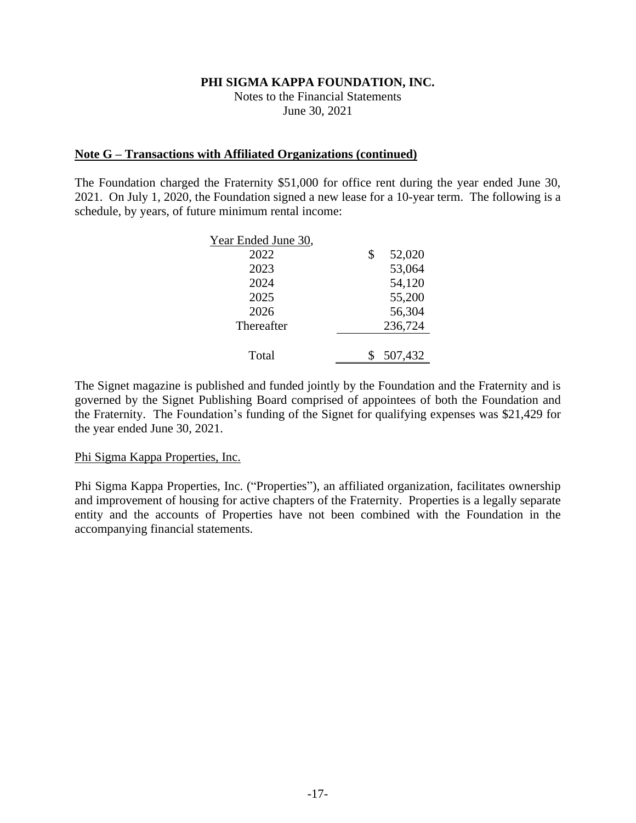Notes to the Financial Statements June 30, 2021

#### **Note G – Transactions with Affiliated Organizations (continued)**

The Foundation charged the Fraternity \$51,000 for office rent during the year ended June 30, 2021. On July 1, 2020, the Foundation signed a new lease for a 10-year term. The following is a schedule, by years, of future minimum rental income:

| Year Ended June 30, |              |
|---------------------|--------------|
| 2022                | \$<br>52,020 |
| 2023                | 53,064       |
| 2024                | 54,120       |
| 2025                | 55,200       |
| 2026                | 56,304       |
| Thereafter          | 236,724      |
|                     |              |
| Total               | 507,432      |

The Signet magazine is published and funded jointly by the Foundation and the Fraternity and is governed by the Signet Publishing Board comprised of appointees of both the Foundation and the Fraternity. The Foundation's funding of the Signet for qualifying expenses was \$21,429 for the year ended June 30, 2021.

## Phi Sigma Kappa Properties, Inc.

Phi Sigma Kappa Properties, Inc. ("Properties"), an affiliated organization, facilitates ownership and improvement of housing for active chapters of the Fraternity. Properties is a legally separate entity and the accounts of Properties have not been combined with the Foundation in the accompanying financial statements.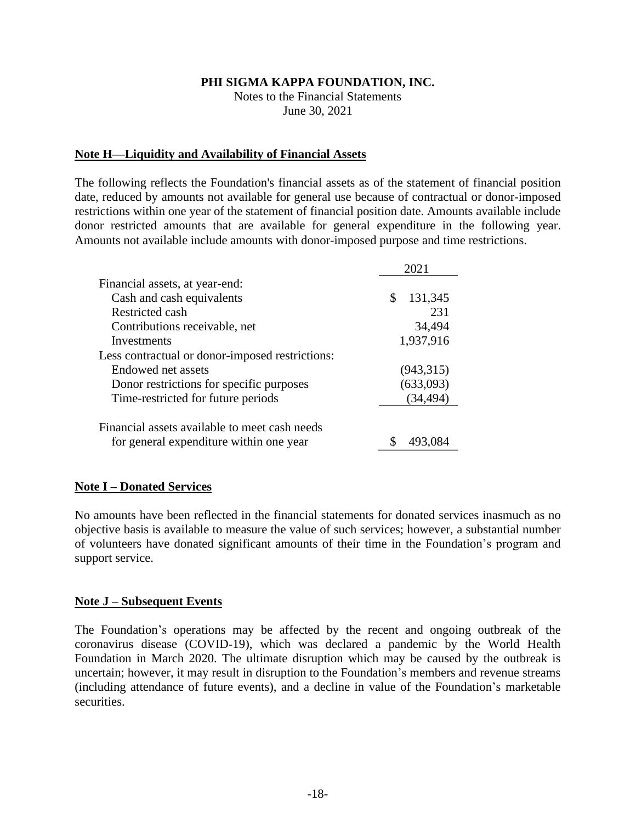Notes to the Financial Statements June 30, 2021

#### **Note H—Liquidity and Availability of Financial Assets**

The following reflects the Foundation's financial assets as of the statement of financial position date, reduced by amounts not available for general use because of contractual or donor-imposed restrictions within one year of the statement of financial position date. Amounts available include donor restricted amounts that are available for general expenditure in the following year. Amounts not available include amounts with donor-imposed purpose and time restrictions.

|                                                 | 2021          |
|-------------------------------------------------|---------------|
| Financial assets, at year-end:                  |               |
| Cash and cash equivalents                       | 131,345<br>\$ |
| Restricted cash                                 | 231           |
| Contributions receivable, net                   | 34,494        |
| Investments                                     | 1,937,916     |
| Less contractual or donor-imposed restrictions: |               |
| Endowed net assets                              | (943, 315)    |
| Donor restrictions for specific purposes        | (633,093)     |
| Time-restricted for future periods              | (34, 494)     |
| Financial assets available to meet cash needs   |               |
| for general expenditure within one year         |               |

## **Note I – Donated Services**

No amounts have been reflected in the financial statements for donated services inasmuch as no objective basis is available to measure the value of such services; however, a substantial number of volunteers have donated significant amounts of their time in the Foundation's program and support service.

## **Note J – Subsequent Events**

The Foundation's operations may be affected by the recent and ongoing outbreak of the coronavirus disease (COVID‐19), which was declared a pandemic by the World Health Foundation in March 2020. The ultimate disruption which may be caused by the outbreak is uncertain; however, it may result in disruption to the Foundation's members and revenue streams (including attendance of future events), and a decline in value of the Foundation's marketable securities.